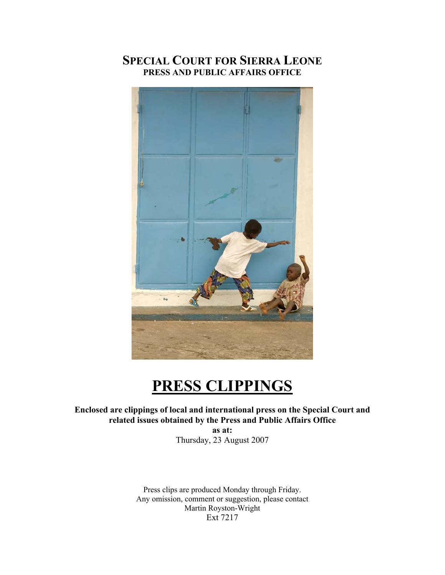# **SPECIAL COURT FOR SIERRA LEONE PRESS AND PUBLIC AFFAIRS OFFICE**



# **PRESS CLIPPINGS**

**Enclosed are clippings of local and international press on the Special Court and related issues obtained by the Press and Public Affairs Office** 

**as at:**  Thursday, 23 August 2007

Press clips are produced Monday through Friday. Any omission, comment or suggestion, please contact Martin Royston-Wright Ext 7217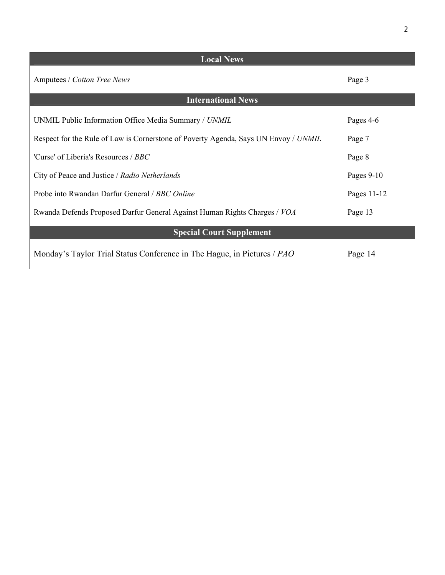| <b>Local News</b>                                                                   |             |
|-------------------------------------------------------------------------------------|-------------|
| Amputees / Cotton Tree News                                                         | Page 3      |
| <b>International News</b>                                                           |             |
| UNMIL Public Information Office Media Summary / UNMIL                               | Pages 4-6   |
| Respect for the Rule of Law is Cornerstone of Poverty Agenda, Says UN Envoy / UNMIL | Page 7      |
| 'Curse' of Liberia's Resources / BBC                                                | Page 8      |
| City of Peace and Justice / Radio Netherlands                                       | Pages 9-10  |
| Probe into Rwandan Darfur General / BBC Online                                      | Pages 11-12 |
| Rwanda Defends Proposed Darfur General Against Human Rights Charges / VOA           | Page 13     |
| <b>Special Court Supplement</b>                                                     |             |
| Monday's Taylor Trial Status Conference in The Hague, in Pictures / PAO             | Page 14     |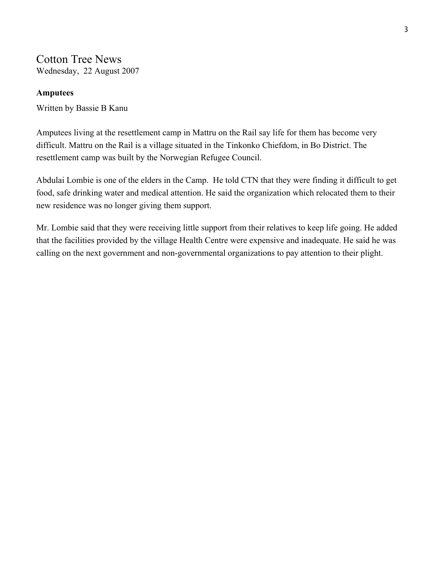# Cotton Tree News

Wednesday, 22 August 2007

# **Amputees**

Written by Bassie B Kanu

Amputees living at the resettlement camp in Mattru on the Rail say life for them has become very difficult. Mattru on the Rail is a village situated in the Tinkonko Chiefdom, in Bo District. The resettlement camp was built by the Norwegian Refugee Council.

Abdulai Lombie is one of the elders in the Camp. He told CTN that they were finding it difficult to get food, safe drinking water and medical attention. He said the organization which relocated them to their new residence was no longer giving them support.

Mr. Lombie said that they were receiving little support from their relatives to keep life going. He added that the facilities provided by the village Health Centre were expensive and inadequate. He said he was calling on the next government and non-governmental organizations to pay attention to their plight.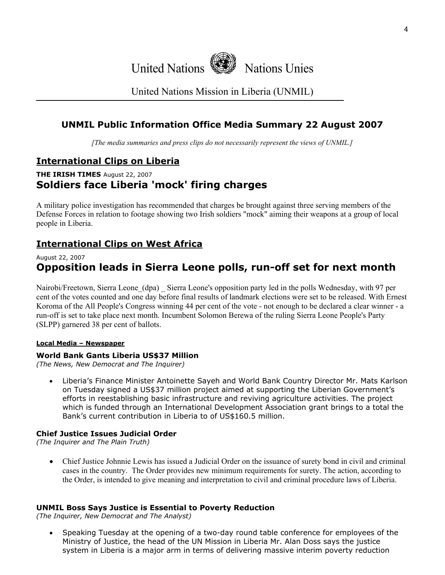

United Nations Mission in Liberia (UNMIL)

# **UNMIL Public Information Office Media Summary 22 August 2007**

*[The media summaries and press clips do not necessarily represent the views of UNMIL.]*

# **International Clips on Liberia**

# **THE IRISH TIMES** August 22, 2007 **Soldiers face Liberia 'mock' firing charges**

A military police investigation has recommended that charges be brought against three serving members of the Defense Forces in relation to footage showing two Irish soldiers "mock" aiming their weapons at a group of local people in Liberia.

# **International Clips on West Africa**

# August 22, 2007

# **Opposition leads in Sierra Leone polls, run-off set for next month**

Nairobi/Freetown, Sierra Leone (dpa) Sierra Leone's opposition party led in the polls Wednesday, with 97 per cent of the votes counted and one day before final results of landmark elections were set to be released. With Ernest Koroma of the All People's Congress winning 44 per cent of the vote - not enough to be declared a clear winner - a run-off is set to take place next month. Incumbent Solomon Berewa of the ruling Sierra Leone People's Party (SLPP) garnered 38 per cent of ballots.

# **Local Media – Newspaper**

# **World Bank Gants Liberia US\$37 Million**

*(The News, New Democrat and The Inquirer)* 

• Liberia's Finance Minister Antoinette Sayeh and World Bank Country Director Mr. Mats Karlson on Tuesday signed a US\$37 million project aimed at supporting the Liberian Government's efforts in reestablishing basic infrastructure and reviving agriculture activities. The project which is funded through an International Development Association grant brings to a total the Bank's current contribution in Liberia to of US\$160.5 million.

# **Chief Justice Issues Judicial Order**

*(The Inquirer and The Plain Truth)* 

• Chief Justice Johnnie Lewis has issued a Judicial Order on the issuance of surety bond in civil and criminal cases in the country. The Order provides new minimum requirements for surety. The action, according to the Order, is intended to give meaning and interpretation to civil and criminal procedure laws of Liberia.

# **UNMIL Boss Says Justice is Essential to Poverty Reduction**

*(The Inquirer, New Democrat and The Analyst)* 

• Speaking Tuesday at the opening of a two-day round table conference for employees of the Ministry of Justice, the head of the UN Mission in Liberia Mr. Alan Doss says the justice system in Liberia is a major arm in terms of delivering massive interim poverty reduction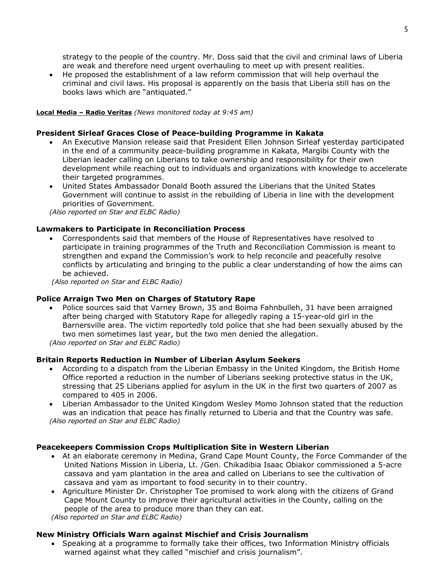strategy to the people of the country. Mr. Doss said that the civil and criminal laws of Liberia are weak and therefore need urgent overhauling to meet up with present realities.

• He proposed the establishment of a law reform commission that will help overhaul the criminal and civil laws. His proposal is apparently on the basis that Liberia still has on the books laws which are "antiquated."

### **Local Media – Radio Veritas** *(News monitored today at 9:45 am)*

### **President Sirleaf Graces Close of Peace-building Programme in Kakata**

- An Executive Mansion release said that President Ellen Johnson Sirleaf yesterday participated in the end of a community peace-building programme in Kakata, Margibi County with the Liberian leader calling on Liberians to take ownership and responsibility for their own development while reaching out to individuals and organizations with knowledge to accelerate their targeted programmes.
- United States Ambassador Donald Booth assured the Liberians that the United States Government will continue to assist in the rebuilding of Liberia in line with the development priorities of Government.

*(Also reported on Star and ELBC Radio)*

## **Lawmakers to Participate in Reconciliation Process**

• Correspondents said that members of the House of Representatives have resolved to participate in training programmes of the Truth and Reconciliation Commission is meant to strengthen and expand the Commission's work to help reconcile and peacefully resolve conflicts by articulating and bringing to the public a clear understanding of how the aims can be achieved.

 *(Also reported on Star and ELBC Radio)*

### **Police Arraign Two Men on Charges of Statutory Rape**

• Police sources said that Varney Brown, 35 and Boima Fahnbulleh, 31 have been arraigned after being charged with Statutory Rape for allegedly raping a 15-year-old girl in the Barnersville area. The victim reportedly told police that she had been sexually abused by the two men sometimes last year, but the two men denied the allegation.

*(Also reported on Star and ELBC Radio)*

## **Britain Reports Reduction in Number of Liberian Asylum Seekers**

- According to a dispatch from the Liberian Embassy in the United Kingdom, the British Home Office reported a reduction in the number of Liberians seeking protective status in the UK, stressing that 25 Liberians applied for asylum in the UK in the first two quarters of 2007 as compared to 405 in 2006.
- Liberian Ambassador to the United Kingdom Wesley Momo Johnson stated that the reduction was an indication that peace has finally returned to Liberia and that the Country was safe. *(Also reported on Star and ELBC Radio)*

### **Peacekeepers Commission Crops Multiplication Site in Western Liberian**

- At an elaborate ceremony in Medina, Grand Cape Mount County, the Force Commander of the United Nations Mission in Liberia, Lt. /Gen. Chikadibia Isaac Obiakor commissioned a 5-acre cassava and yam plantation in the area and called on Liberians to see the cultivation of cassava and yam as important to food security in to their country.
- Agriculture Minister Dr. Christopher Toe promised to work along with the citizens of Grand Cape Mount County to improve their agricultural activities in the County, calling on the people of the area to produce more than they can eat.

*(Also reported on Star and ELBC Radio)*

### **New Ministry Officials Warn against Mischief and Crisis Journalism**

• Speaking at a programme to formally take their offices, two Information Ministry officials warned against what they called "mischief and crisis journalism".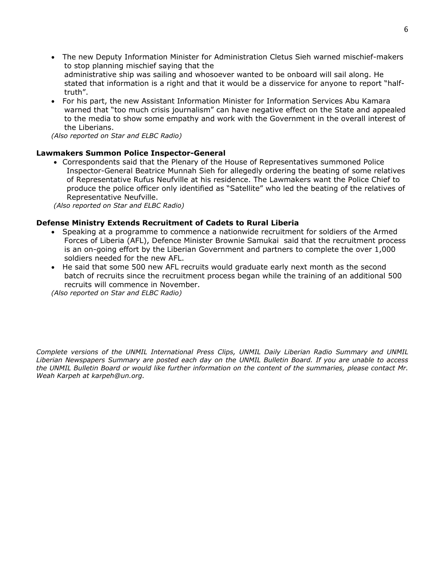- The new Deputy Information Minister for Administration Cletus Sieh warned mischief-makers to stop planning mischief saying that the administrative ship was sailing and whosoever wanted to be onboard will sail along. He stated that information is a right and that it would be a disservice for anyone to report "halftruth".
- For his part, the new Assistant Information Minister for Information Services Abu Kamara warned that "too much crisis journalism" can have negative effect on the State and appealed to the media to show some empathy and work with the Government in the overall interest of the Liberians.

*(Also reported on Star and ELBC Radio)*

## **Lawmakers Summon Police Inspector-General**

• Correspondents said that the Plenary of the House of Representatives summoned Police Inspector-General Beatrice Munnah Sieh for allegedly ordering the beating of some relatives of Representative Rufus Neufville at his residence. The Lawmakers want the Police Chief to produce the police officer only identified as "Satellite" who led the beating of the relatives of Representative Neufville.

*(Also reported on Star and ELBC Radio)*

## **Defense Ministry Extends Recruitment of Cadets to Rural Liberia**

- Speaking at a programme to commence a nationwide recruitment for soldiers of the Armed Forces of Liberia (AFL), Defence Minister Brownie Samukai said that the recruitment process is an on-going effort by the Liberian Government and partners to complete the over 1,000 soldiers needed for the new AFL.
- He said that some 500 new AFL recruits would graduate early next month as the second batch of recruits since the recruitment process began while the training of an additional 500 recruits will commence in November.

*(Also reported on Star and ELBC Radio)*

*Complete versions of the UNMIL International Press Clips, UNMIL Daily Liberian Radio Summary and UNMIL Liberian Newspapers Summary are posted each day on the UNMIL Bulletin Board. If you are unable to access the UNMIL Bulletin Board or would like further information on the content of the summaries, please contact Mr. Weah Karpeh at karpeh@un.org.*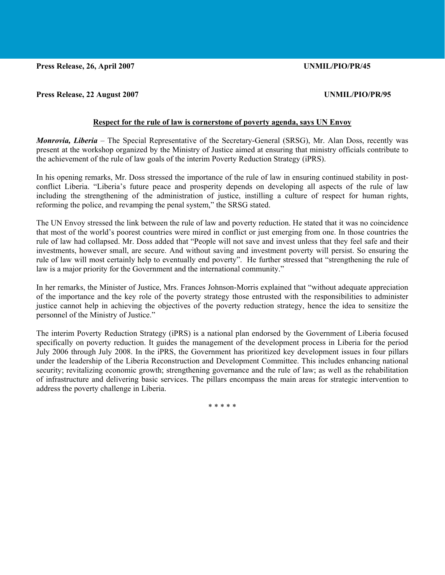**Press Release, 26, April 2007 UNMIL/PIO/PR/45** 

## **Press Release, 22 August 2007 UNMIL/PIO/PR/95**

# **Respect for the rule of law is cornerstone of poverty agenda, says UN Envoy**

*Monrovia, Liberia –* The Special Representative of the Secretary-General (SRSG), Mr. Alan Doss, recently was present at the workshop organized by the Ministry of Justice aimed at ensuring that ministry officials contribute to the achievement of the rule of law goals of the interim Poverty Reduction Strategy (iPRS).

In his opening remarks, Mr. Doss stressed the importance of the rule of law in ensuring continued stability in postconflict Liberia. "Liberia's future peace and prosperity depends on developing all aspects of the rule of law including the strengthening of the administration of justice, instilling a culture of respect for human rights, reforming the police, and revamping the penal system," the SRSG stated.

The UN Envoy stressed the link between the rule of law and poverty reduction. He stated that it was no coincidence that most of the world's poorest countries were mired in conflict or just emerging from one. In those countries the rule of law had collapsed. Mr. Doss added that "People will not save and invest unless that they feel safe and their investments, however small, are secure. And without saving and investment poverty will persist. So ensuring the rule of law will most certainly help to eventually end poverty". He further stressed that "strengthening the rule of law is a major priority for the Government and the international community."

In her remarks, the Minister of Justice, Mrs. Frances Johnson-Morris explained that "without adequate appreciation of the importance and the key role of the poverty strategy those entrusted with the responsibilities to administer justice cannot help in achieving the objectives of the poverty reduction strategy, hence the idea to sensitize the personnel of the Ministry of Justice."

The interim Poverty Reduction Strategy (iPRS) is a national plan endorsed by the Government of Liberia focused specifically on poverty reduction. It guides the management of the development process in Liberia for the period July 2006 through July 2008. In the iPRS, the Government has prioritized key development issues in four pillars under the leadership of the Liberia Reconstruction and Development Committee. This includes enhancing national security; revitalizing economic growth; strengthening governance and the rule of law; as well as the rehabilitation of infrastructure and delivering basic services. The pillars encompass the main areas for strategic intervention to address the poverty challenge in Liberia.

\* \* \* \* \*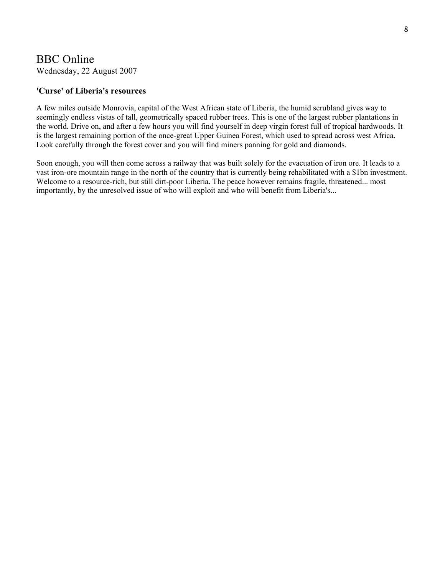# BBC Online

Wednesday, 22 August 2007

# **['Curse' of Liberia's resources](http://article.wn.com/link/WNAT91b59d573fa2dbbee521b4ff6c550fd1?source=upge&template=cheetah-article%2Fdisplayarticle.txt)**

A few miles outside [Monrovia](http://www.monrovianews.com/), capital of the West [African](http://www.africadaily.com/) state of Liberia, the humid scrubland gives way to seemingly endless vistas of tall, geometrically spaced rubber trees. This is one of the largest rubber plantations in the world. Drive on, and after a few hours you will find yourself in deep [virgin](http://www.virgindaily.com/) [forest](http://www.worldlogging.com/) full of tropical hardwoods. It is the largest remaining portion of the once-great Upper [Guinea](http://www.guineabissau.com/) Forest, which used to spread across west Africa. Look carefully through the forest cover and you will find miners panning for [gold](http://www.goldherald.com/) and [diamonds](http://www.diamondnews.com/).

Soon enough, you will then come across a railway that was built solely for the evacuation of iron ore. It leads to a vast iron-ore mountain range in the north of the country that is currently being rehabilitated with a \$1bn investment. Welcome to a resource-rich, but still dirt-poor Liberia. The peace however remains fragile, threatened... most importantly, by the unresolved issue of who will exploit and who will benefit from Liberia's...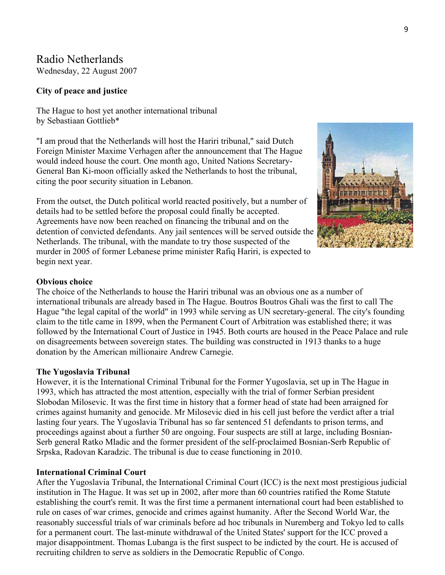# Radio Netherlands

Wednesday, 22 August 2007

# **City of peace and justice**

The Hague to host yet another international tribunal by Sebastiaan Gottlieb\*

"I am proud that the Netherlands will host the Hariri tribunal," said Dutch Foreign Minister Maxime Verhagen after the announcement that The Hague would indeed house the court. One month ago, United Nations Secretary-General Ban Ki-moon officially asked the Netherlands to host the tribunal, citing the poor security situation in Lebanon.

From the outset, the Dutch political world reacted positively, but a number of details had to be settled before the proposal could finally be accepted. Agreements have now been reached on financing the tribunal and on the detention of convicted defendants. Any jail sentences will be served outside the Netherlands. The tribunal, with the mandate to try those suspected of the murder in 2005 of former Lebanese prime minister Rafiq Hariri, is expected to begin next year.



# **Obvious choice**

The choice of the Netherlands to house the Hariri tribunal was an obvious one as a number of international tribunals are already based in The Hague. Boutros Boutros Ghali was the first to call The Hague "the legal capital of the world" in 1993 while serving as UN secretary-general. The city's founding claim to the title came in 1899, when the Permanent Court of Arbitration was established there; it was followed by the International Court of Justice in 1945. Both courts are housed in the Peace Palace and rule on disagreements between sovereign states. The building was constructed in 1913 thanks to a huge donation by the American millionaire Andrew Carnegie.

## **The Yugoslavia Tribunal**

However, it is the International Criminal Tribunal for the Former Yugoslavia, set up in The Hague in 1993, which has attracted the most attention, especially with the trial of former Serbian president Slobodan Milosevic. It was the first time in history that a former head of state had been arraigned for crimes against humanity and genocide. Mr Milosevic died in his cell just before the verdict after a trial lasting four years. The Yugoslavia Tribunal has so far sentenced 51 defendants to prison terms, and proceedings against about a further 50 are ongoing. Four suspects are still at large, including Bosnian-Serb general Ratko Mladic and the former president of the self-proclaimed Bosnian-Serb Republic of Srpska, Radovan Karadzic. The tribunal is due to cease functioning in 2010.

## **International Criminal Court**

After the Yugoslavia Tribunal, the International Criminal Court (ICC) is the next most prestigious judicial institution in The Hague. It was set up in 2002, after more than 60 countries ratified the Rome Statute establishing the court's remit. It was the first time a permanent international court had been established to rule on cases of war crimes, genocide and crimes against humanity. After the Second World War, the reasonably successful trials of war criminals before ad hoc tribunals in Nuremberg and Tokyo led to calls for a permanent court. The last-minute withdrawal of the United States' support for the ICC proved a major disappointment. Thomas Lubanga is the first suspect to be indicted by the court. He is accused of recruiting children to serve as soldiers in the Democratic Republic of Congo.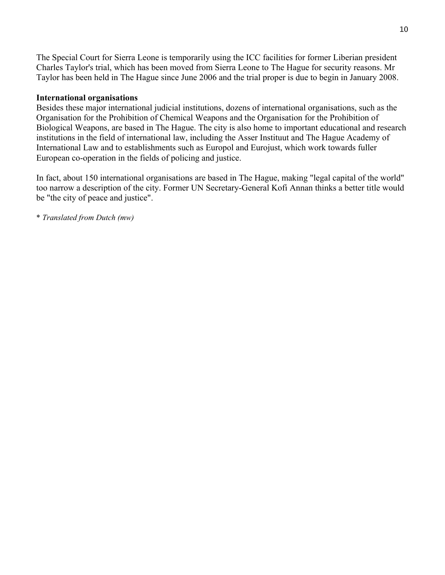The Special Court for Sierra Leone is temporarily using the ICC facilities for former Liberian president Charles Taylor's trial, which has been moved from Sierra Leone to The Hague for security reasons. Mr Taylor has been held in The Hague since June 2006 and the trial proper is due to begin in January 2008.

# **International organisations**

Besides these major international judicial institutions, dozens of international organisations, such as the Organisation for the Prohibition of Chemical Weapons and the Organisation for the Prohibition of Biological Weapons, are based in The Hague. The city is also home to important educational and research institutions in the field of international law, including the Asser Instituut and The Hague Academy of International Law and to establishments such as Europol and Eurojust, which work towards fuller European co-operation in the fields of policing and justice.

In fact, about 150 international organisations are based in The Hague, making "legal capital of the world" too narrow a description of the city. Former UN Secretary-General Kofi Annan thinks a better title would be "the city of peace and justice".

\* *Translated from Dutch (mw)*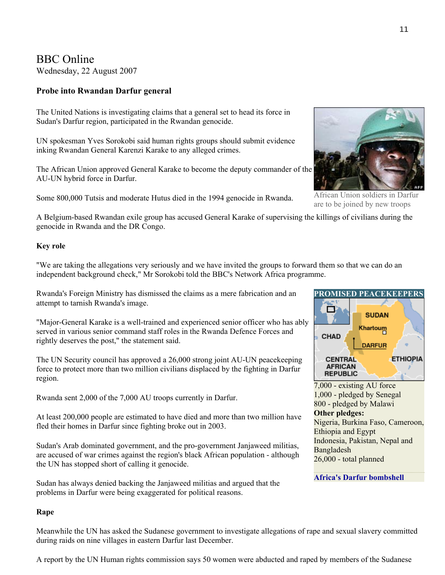BBC Online

Wednesday, 22 August 2007

# **Probe into Rwandan Darfur general**

The United Nations is investigating claims that a general set to head its force in Sudan's Darfur region, participated in the Rwandan genocide.

UN spokesman Yves Sorokobi said human rights groups should submit evidence inking Rwandan General Karenzi Karake to any alleged crimes.

The African Union approved General Karake to become the deputy commander of the AU-UN hybrid force in Darfur.

Some 800,000 Tutsis and moderate Hutus died in the 1994 genocide in Rwanda.



African Union soldiers in Darfur are to be joined by new troops

A Belgium-based Rwandan exile group has accused General Karake of supervising the killings of civilians during the genocide in Rwanda and the DR Congo.

# **Key role**

"We are taking the allegations very seriously and we have invited the groups to forward them so that we can do an independent background check," Mr Sorokobi told the BBC's Network Africa programme.

Rwanda's Foreign Ministry has dismissed the claims as a mere fabrication and an attempt to tarnish Rwanda's image.

"Major-General Karake is a well-trained and experienced senior officer who has ably served in various senior command staff roles in the Rwanda Defence Forces and rightly deserves the post," the statement said.

The UN Security council has approved a 26,000 strong joint AU-UN peacekeeping force to protect more than two million civilians displaced by the fighting in Darfur region.

Rwanda sent 2,000 of the 7,000 AU troops currently in Darfur.

At least 200,000 people are estimated to have died and more than two million have fled their homes in Darfur since fighting broke out in 2003.

Sudan's Arab dominated government, and the pro-government Janjaweed militias, are accused of war crimes against the region's black African population - although the UN has stopped short of calling it genocide.

Sudan has always denied backing the Janjaweed militias and argued that the problems in Darfur were being exaggerated for political reasons.

# **Rape**

Meanwhile the UN has asked the Sudanese government to investigate allegations of rape and sexual slavery committed during raids on nine villages in eastern Darfur last December.

A report by the UN Human rights commission says 50 women were abducted and raped by members of the Sudanese



7,000 - existing AU force 1,000 - pledged by Senegal 800 - pledged by Malawi **Other pledges:** Nigeria, Burkina Faso, Cameroon, Ethiopia and Egypt Indonesia, Pakistan, Nepal and Bangladesh 26,000 - total planned

# **[Africa's Darfur bombshell](http://news.bbc.co.uk/2/hi/africa/6944277.stm)**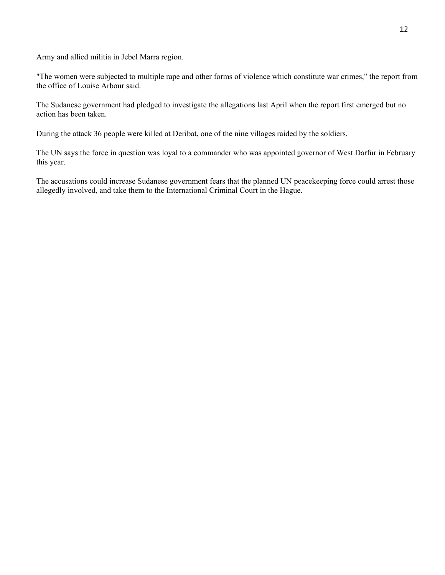Army and allied militia in Jebel Marra region.

"The women were subjected to multiple rape and other forms of violence which constitute war crimes," the report from the office of Louise Arbour said.

The Sudanese government had pledged to investigate the allegations last April when the report first emerged but no action has been taken.

During the attack 36 people were killed at Deribat, one of the nine villages raided by the soldiers.

The UN says the force in question was loyal to a commander who was appointed governor of West Darfur in February this year.

The accusations could increase Sudanese government fears that the planned UN peacekeeping force could arrest those allegedly involved, and take them to the International Criminal Court in the Hague.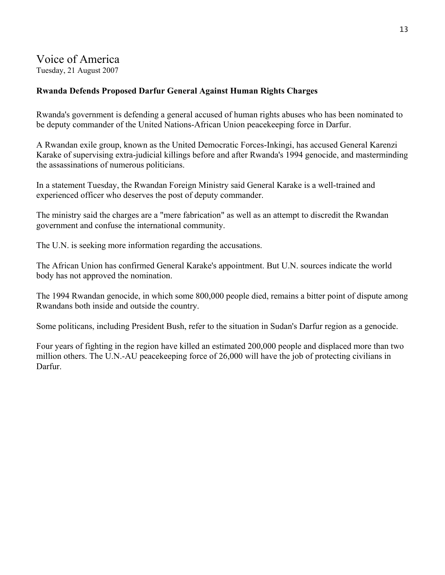# Voice of America

Tuesday, 21 August 2007

# **Rwanda Defends Proposed Darfur General Against Human Rights Charges**

Rwanda's government is defending a general accused of human rights abuses who has been nominated to be deputy commander of the United Nations-African Union peacekeeping force in Darfur.

A Rwandan exile group, known as the United Democratic Forces-Inkingi, has accused General Karenzi Karake of supervising extra-judicial killings before and after Rwanda's 1994 genocide, and masterminding the assassinations of numerous politicians.

In a statement Tuesday, the Rwandan Foreign Ministry said General Karake is a well-trained and experienced officer who deserves the post of deputy commander.

The ministry said the charges are a "mere fabrication" as well as an attempt to discredit the Rwandan government and confuse the international community.

The U.N. is seeking more information regarding the accusations.

The African Union has confirmed General Karake's appointment. But U.N. sources indicate the world body has not approved the nomination.

The 1994 Rwandan genocide, in which some 800,000 people died, remains a bitter point of dispute among Rwandans both inside and outside the country.

Some politicans, including President Bush, refer to the situation in Sudan's Darfur region as a genocide.

Four years of fighting in the region have killed an estimated 200,000 people and displaced more than two million others. The U.N.-AU peacekeeping force of 26,000 will have the job of protecting civilians in Darfur.